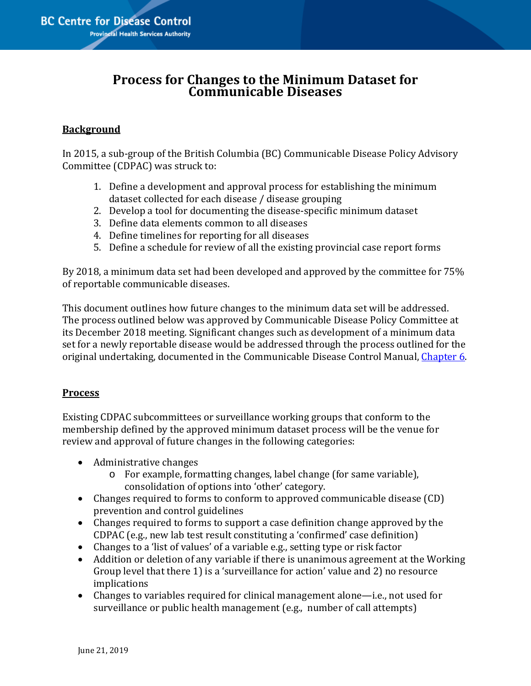## **Process for Changes to the Minimum Dataset for Communicable Diseases**

## **Background**

In 2015, a sub-group of the British Columbia (BC) Communicable Disease Policy Advisory Committee (CDPAC) was struck to:

- 1. Define a development and approval process for establishing the minimum dataset collected for each disease / disease grouping
- 2. Develop a tool for documenting the disease-specific minimum dataset
- 3. Define data elements common to all diseases
- 4. Define timelines for reporting for all diseases
- 5. Define a schedule for review of all the existing provincial case report forms

By 2018, a minimum data set had been developed and approved by the committee for 75% of reportable communicable diseases.

This document outlines how future changes to the minimum data set will be addressed. The process outlined below was approved by Communicable Disease Policy Committee at its December 2018 meeting. Significant changes such as development of a minimum data set for a newly reportable disease would be addressed through the process outlined for the original undertaking, documented in the Communicable Disease Control Manual, [Chapter 6.](http://www.bccdc.ca/health-professionals/clinical-resources/communicable-disease-control-manual/immunization)

## **Process**

Existing CDPAC subcommittees or surveillance working groups that conform to the membership defined by the approved minimum dataset process will be the venue for review and approval of future changes in the following categories:

- Administrative changes
	- o For example, formatting changes, label change (for same variable), consolidation of options into 'other' category.
- Changes required to forms to conform to approved communicable disease (CD) prevention and control guidelines
- Changes required to forms to support a case definition change approved by the CDPAC (e.g., new lab test result constituting a 'confirmed' case definition)
- Changes to a 'list of values' of a variable e.g., setting type or risk factor
- Addition or deletion of any variable if there is unanimous agreement at the Working Group level that there 1) is a 'surveillance for action' value and 2) no resource implications
- Changes to variables required for clinical management alone—i.e., not used for surveillance or public health management (e.g., number of call attempts)